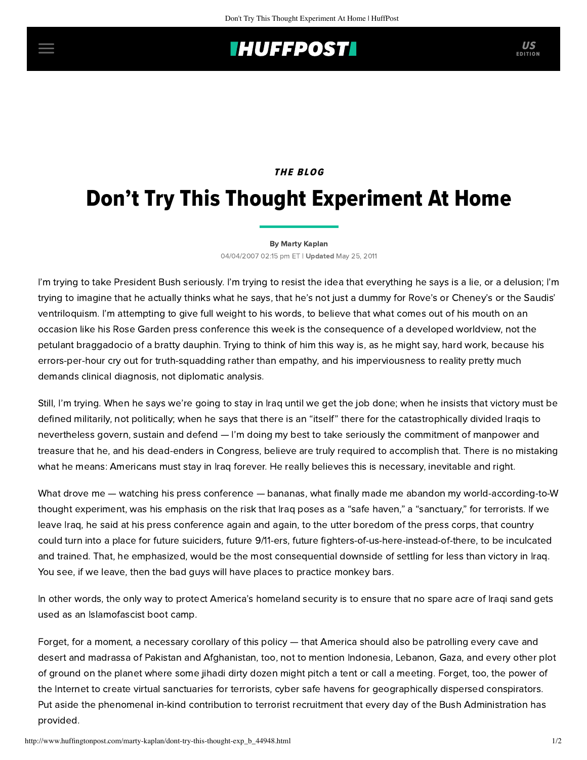## **INUFFPOST**

## THE BLOG

# Don't Try This Thought Experiment At Home

#### [By Marty Kaplan](http://www.huffingtonpost.com/author/marty-kaplan)

04/04/2007 02:15 pm ET | Updated May 25, 2011

I'm trying to take President Bush seriously. I'm trying to resist the idea that everything he says is a lie, or a delusion; I'm trying to imagine that he actually thinks what he says, that he's not just a dummy for Rove's or Cheney's or the Saudis' ventriloquism. I'm attempting to give full weight to his words, to believe that what comes out of his mouth on an occasion like his Rose Garden press conference this week is the consequence of a developed worldview, not the petulant braggadocio of a bratty dauphin. Trying to think of him this way is, as he might say, hard work, because his errors-per-hour cry out for truth-squadding rather than empathy, and his imperviousness to reality pretty much demands clinical diagnosis, not diplomatic analysis.

Still, I'm trying. When he says we're going to stay in Iraq until we get the job done; when he insists that victory must be defined militarily, not politically; when he says that there is an "itself" there for the catastrophically divided Iraqis to nevertheless govern, sustain and defend — I'm doing my best to take seriously the commitment of manpower and treasure that he, and his dead-enders in Congress, believe are truly required to accomplish that. There is no mistaking what he means: Americans must stay in Iraq forever. He really believes this is necessary, inevitable and right.

What drove me — watching his press conference — bananas, what finally made me abandon my world-according-to-W thought experiment, was his emphasis on the risk that Iraq poses as a "safe haven," a "sanctuary," for terrorists. If we leave Iraq, he said at his press conference again and again, to the utter boredom of the press corps, that country could turn into a place for future suiciders, future 9/11-ers, future fighters-of-us-here-instead-of-there, to be inculcated and trained. That, he emphasized, would be the most consequential downside of settling for less than victory in Iraq. You see, if we leave, then the bad guys will have places to practice monkey bars.

In other words, the only way to protect America's homeland security is to ensure that no spare acre of Iraqi sand gets used as an Islamofascist boot camp.

Forget, for a moment, a necessary corollary of this policy — that America should also be patrolling every cave and desert and madrassa of Pakistan and Afghanistan, too, not to mention Indonesia, Lebanon, Gaza, and every other plot of ground on the planet where some jihadi dirty dozen might pitch a tent or call a meeting. Forget, too, the power of the Internet to create virtual sanctuaries for terrorists, cyber safe havens for geographically dispersed conspirators. Put aside the phenomenal in-kind contribution to terrorist recruitment that every day of the Bush Administration has provided.